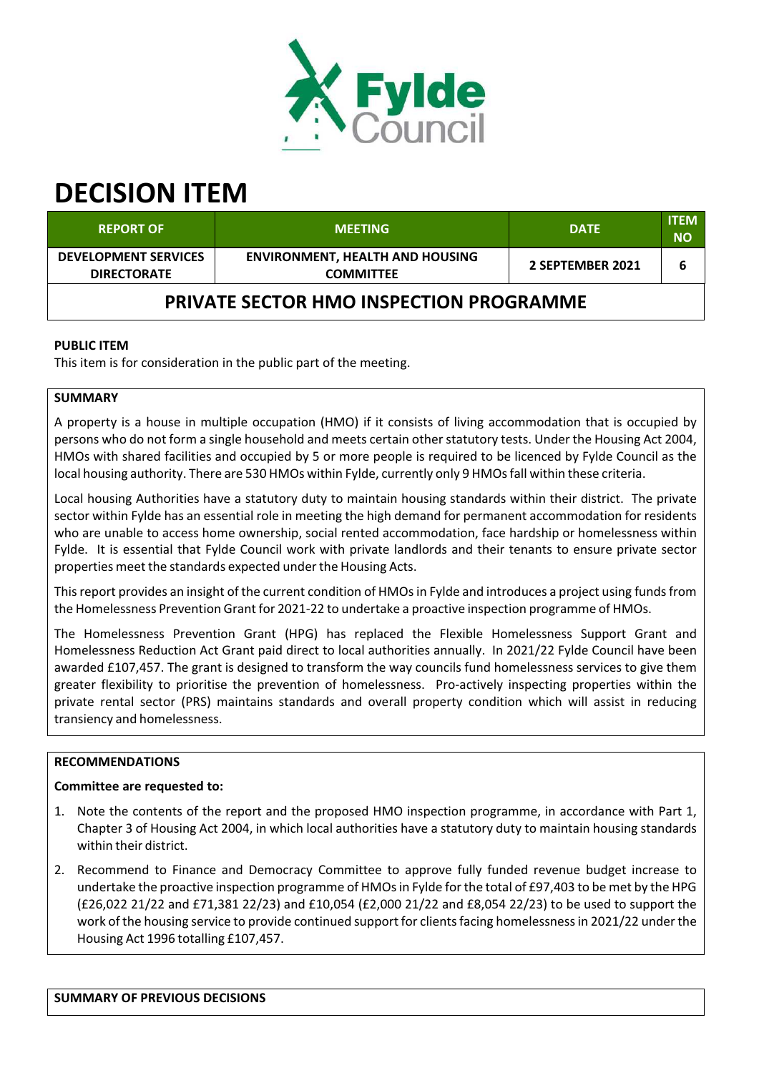

# **DECISION ITEM**

| <b>REPORT OF</b>                                  | <b>MEETING</b>                                             | <b>DATE</b>      | <b>ITEM</b><br><b>NO</b> |  |
|---------------------------------------------------|------------------------------------------------------------|------------------|--------------------------|--|
| <b>DEVELOPMENT SERVICES</b><br><b>DIRECTORATE</b> | <b>ENVIRONMENT, HEALTH AND HOUSING</b><br><b>COMMITTEE</b> | 2 SEPTEMBER 2021 | 6                        |  |
| <b>PRIVATE SECTOR HMO INSPECTION PROGRAMME</b>    |                                                            |                  |                          |  |

# **PUBLIC ITEM**

This item is for consideration in the public part of the meeting.

#### **SUMMARY**

A property is a house in multiple occupation (HMO) if it consists of living accommodation that is occupied by persons who do not form a single household and meets certain other statutory tests. Under the Housing Act 2004, HMOs with shared facilities and occupied by 5 or more people is required to be licenced by Fylde Council as the local housing authority. There are 530 HMOs within Fylde, currently only 9 HMOsfall within these criteria.

Local housing Authorities have a statutory duty to maintain housing standards within their district. The private sector within Fylde has an essential role in meeting the high demand for permanent accommodation for residents who are unable to access home ownership, social rented accommodation, face hardship or homelessness within Fylde. It is essential that Fylde Council work with private landlords and their tenants to ensure private sector properties meet the standards expected under the Housing Acts.

This report provides an insight of the current condition of HMOs in Fylde and introduces a project using funds from the Homelessness Prevention Grant for 2021‐22 to undertake a proactive inspection programme of HMOs.

The Homelessness Prevention Grant (HPG) has replaced the Flexible Homelessness Support Grant and Homelessness Reduction Act Grant paid direct to local authorities annually. In 2021/22 Fylde Council have been awarded £107,457. The grant is designed to transform the way councils fund homelessness services to give them greater flexibility to prioritise the prevention of homelessness. Pro‐actively inspecting properties within the private rental sector (PRS) maintains standards and overall property condition which will assist in reducing transiency and homelessness.

# **RECOMMENDATIONS**

# **Committee are requested to:**

- 1. Note the contents of the report and the proposed HMO inspection programme, in accordance with Part 1, Chapter 3 of Housing Act 2004, in which local authorities have a statutory duty to maintain housing standards within their district.
- 2. Recommend to Finance and Democracy Committee to approve fully funded revenue budget increase to undertake the proactive inspection programme of HMOsin Fylde for the total of £97,403 to be met by the HPG (£26,022 21/22 and £71,381 22/23) and £10,054 (£2,000 21/22 and £8,054 22/23) to be used to support the work of the housing service to provide continued support for clients facing homelessness in 2021/22 under the Housing Act 1996 totalling £107,457.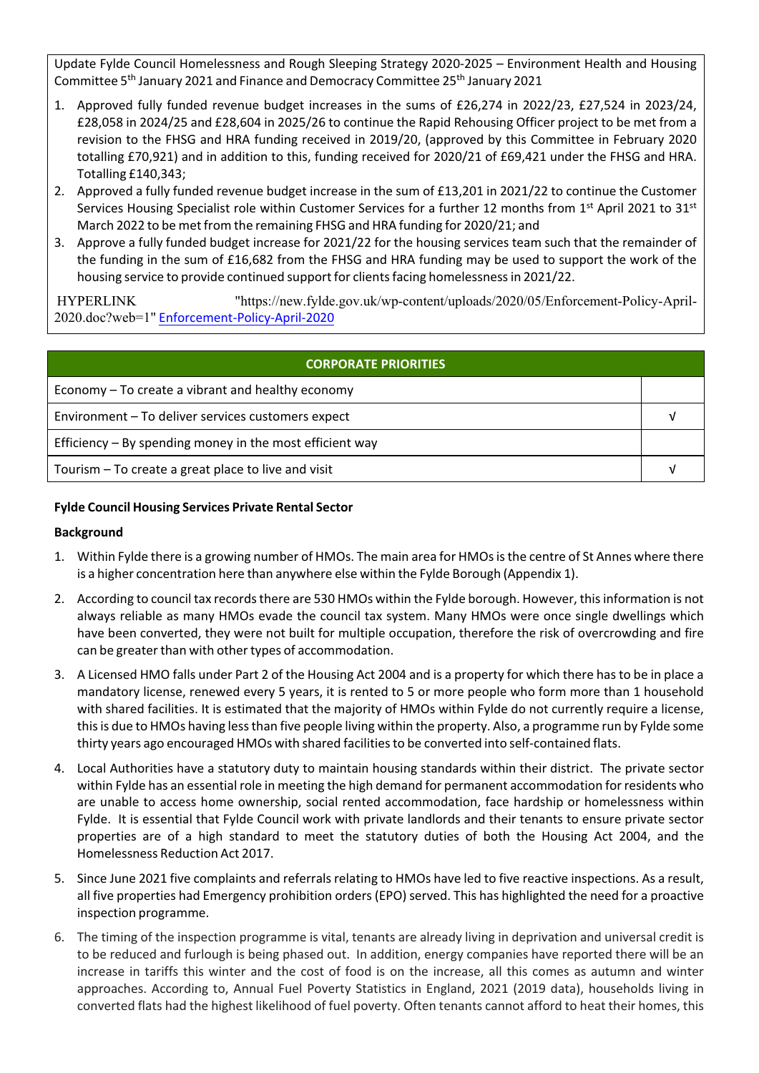Update Fylde Council Homelessness and Rough Sleeping Strategy 2020‐2025 – Environment Health and Housing Committee 5<sup>th</sup> January 2021 and Finance and Democracy Committee 25<sup>th</sup> January 2021

- 1. Approved fully funded revenue budget increases in the sums of £26,274 in 2022/23, £27,524 in 2023/24, £28,058 in 2024/25 and £28,604 in 2025/26 to continue the Rapid Rehousing Officer project to be met from a revision to the FHSG and HRA funding received in 2019/20, (approved by this Committee in February 2020 totalling £70,921) and in addition to this, funding received for 2020/21 of £69,421 under the FHSG and HRA. Totalling £140,343;
- 2. Approved a fully funded revenue budget increase in the sum of £13,201 in 2021/22 to continue the Customer Services Housing Specialist role within Customer Services for a further 12 months from 1<sup>st</sup> April 2021 to 31<sup>st</sup> March 2022 to be met from the remaining FHSG and HRA funding for 2020/21; and
- 3. Approve a fully funded budget increase for 2021/22 for the housing services team such that the remainder of the funding in the sum of £16,682 from the FHSG and HRA funding may be used to support the work of the housing service to provide continued support for clients facing homelessness in 2021/22.

HYPERLINK "https://new.fylde.gov.uk/wp-content/uploads/2020/05/Enforcement-Policy-April-2020.doc?web=1" Enforcement‐Policy‐April‐2020

| <b>CORPORATE PRIORITIES</b>                                |  |  |
|------------------------------------------------------------|--|--|
| Economy – To create a vibrant and healthy economy          |  |  |
| Environment - To deliver services customers expect         |  |  |
| Efficiency $-$ By spending money in the most efficient way |  |  |
| Tourism – To create a great place to live and visit        |  |  |

# **Fylde Council Housing Services Private Rental Sector**

# **Background**

- 1. Within Fylde there is a growing number of HMOs. The main area for HMOs is the centre of St Annes where there is a higher concentration here than anywhere else within the Fylde Borough (Appendix 1).
- 2. According to council tax records there are 530 HMOs within the Fylde borough. However, this information is not always reliable as many HMOs evade the council tax system. Many HMOs were once single dwellings which have been converted, they were not built for multiple occupation, therefore the risk of overcrowding and fire can be greater than with other types of accommodation.
- 3. A Licensed HMO falls under Part 2 of the Housing Act 2004 and is a property for which there hasto be in place a mandatory license, renewed every 5 years, it is rented to 5 or more people who form more than 1 household with shared facilities. It is estimated that the majority of HMOs within Fylde do not currently require a license, this is due to HMOs having less than five people living within the property. Also, a programme run by Fylde some thirty years ago encouraged HMOs with shared facilitiesto be converted into self‐contained flats.
- 4. Local Authorities have a statutory duty to maintain housing standards within their district. The private sector within Fylde has an essential role in meeting the high demand for permanent accommodation for residents who are unable to access home ownership, social rented accommodation, face hardship or homelessness within Fylde. It is essential that Fylde Council work with private landlords and their tenants to ensure private sector properties are of a high standard to meet the statutory duties of both the Housing Act 2004, and the Homelessness Reduction Act 2017.
- 5. Since June 2021 five complaints and referrals relating to HMOs have led to five reactive inspections. As a result, all five properties had Emergency prohibition orders(EPO)served. This has highlighted the need for a proactive inspection programme.
- 6. The timing of the inspection programme is vital, tenants are already living in deprivation and universal credit is to be reduced and furlough is being phased out. In addition, energy companies have reported there will be an increase in tariffs this winter and the cost of food is on the increase, all this comes as autumn and winter approaches. According to, Annual Fuel Poverty Statistics in England, 2021 (2019 data), households living in converted flats had the highest likelihood of fuel poverty. Often tenants cannot afford to heat their homes, this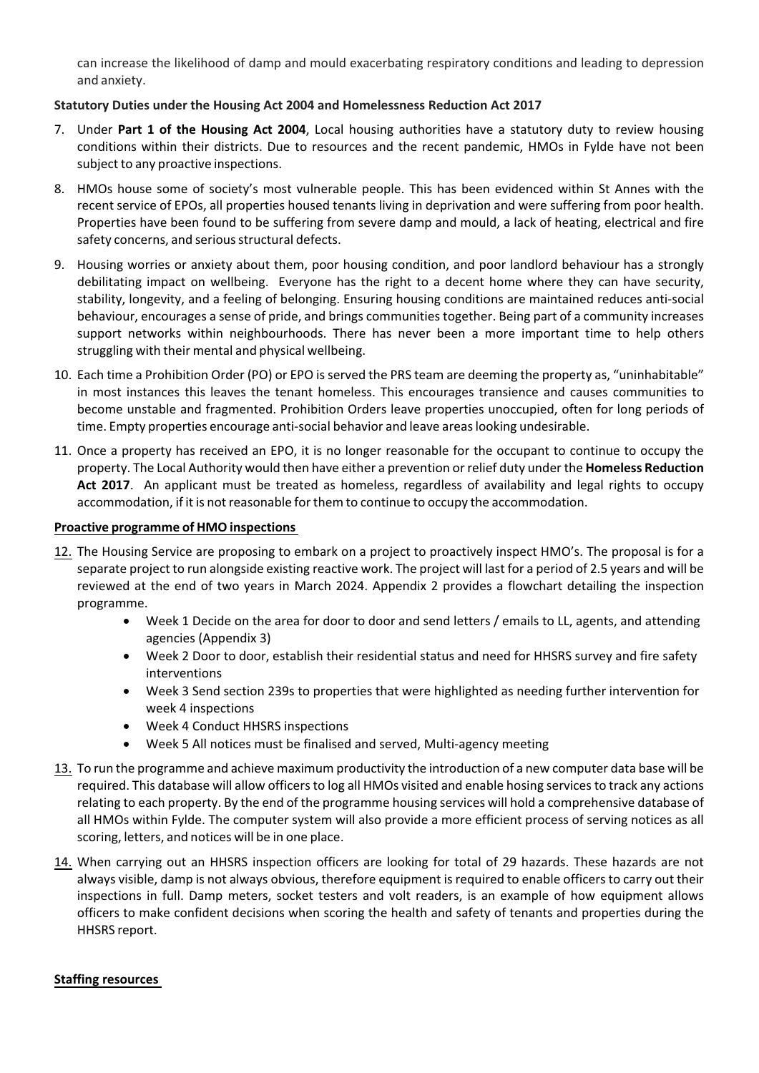can increase the likelihood of damp and mould exacerbating respiratory conditions and leading to depression and anxiety.

# **Statutory Duties under the Housing Act 2004 and Homelessness Reduction Act 2017**

- 7. Under **Part 1 of the Housing Act 2004**, Local housing authorities have a statutory duty to review housing conditions within their districts. Due to resources and the recent pandemic, HMOs in Fylde have not been subject to any proactive inspections.
- 8. HMOs house some of society's most vulnerable people. This has been evidenced within St Annes with the recent service of EPOs, all properties housed tenants living in deprivation and were suffering from poor health. Properties have been found to be suffering from severe damp and mould, a lack of heating, electrical and fire safety concerns, and serious structural defects.
- 9. Housing worries or anxiety about them, poor housing condition, and poor landlord behaviour has a strongly debilitating impact on wellbeing. Everyone has the right to a decent home where they can have security, stability, longevity, and a feeling of belonging. Ensuring housing conditions are maintained reduces anti‐social behaviour, encourages a sense of pride, and brings communitiestogether. Being part of a community increases support networks within neighbourhoods. There has never been a more important time to help others struggling with their mental and physical wellbeing.
- 10. Each time a Prohibition Order (PO) or EPO isserved the PRS team are deeming the property as, "uninhabitable" in most instances this leaves the tenant homeless. This encourages transience and causes communities to become unstable and fragmented. Prohibition Orders leave properties unoccupied, often for long periods of time. Empty properties encourage anti‐social behavior and leave areaslooking undesirable.
- 11. Once a property has received an EPO, it is no longer reasonable for the occupant to continue to occupy the property. The Local Authority would then have either a prevention or relief duty under the **Homeless Reduction Act 2017**. An applicant must be treated as homeless, regardless of availability and legal rights to occupy accommodation, if it is not reasonable for them to continue to occupy the accommodation.

#### **Proactive programme of HMO inspections**

- 12. The Housing Service are proposing to embark on a project to proactively inspect HMO's. The proposal is for a separate project to run alongside existing reactive work. The project will last for a period of 2.5 years and will be reviewed at the end of two years in March 2024. Appendix 2 provides a flowchart detailing the inspection programme.
	- Week 1 Decide on the area for door to door and send letters / emails to LL, agents, and attending agencies (Appendix 3)
	- Week 2 Door to door, establish their residential status and need for HHSRS survey and fire safety interventions
	- Week 3 Send section 239s to properties that were highlighted as needing further intervention for week 4 inspections
	- Week 4 Conduct HHSRS inspections
	- Week 5 All notices must be finalised and served, Multi-agency meeting
- 13. To run the programme and achieve maximum productivity the introduction of a new computer data base will be required. This database will allow officers to log all HMOs visited and enable hosing services to track any actions relating to each property. By the end of the programme housing services will hold a comprehensive database of all HMOs within Fylde. The computer system will also provide a more efficient process of serving notices as all scoring, letters, and notices will be in one place.
- 14. When carrying out an HHSRS inspection officers are looking for total of 29 hazards. These hazards are not always visible, damp is not always obvious, therefore equipment isrequired to enable officersto carry out their inspections in full. Damp meters, socket testers and volt readers, is an example of how equipment allows officers to make confident decisions when scoring the health and safety of tenants and properties during the HHSRS report.

#### **Staffing resources**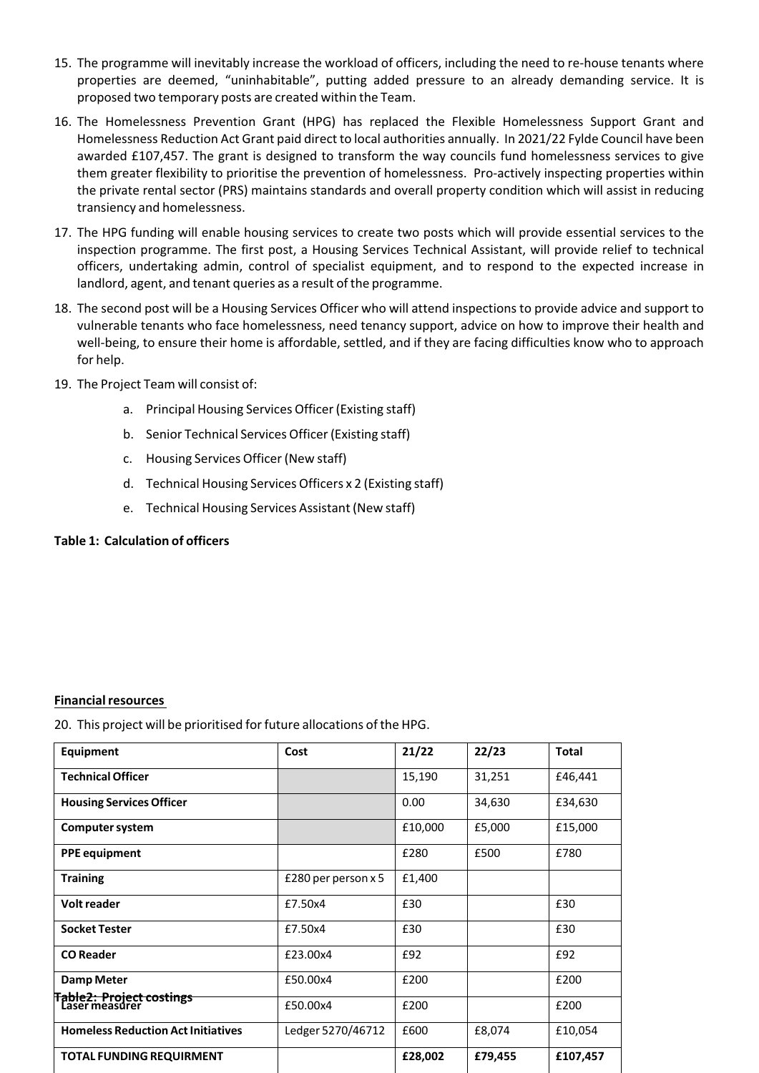- 15. The programme will inevitably increase the workload of officers, including the need to re‐house tenants where properties are deemed, "uninhabitable", putting added pressure to an already demanding service. It is proposed two temporary posts are created within the Team.
- 16. The Homelessness Prevention Grant (HPG) has replaced the Flexible Homelessness Support Grant and Homelessness Reduction Act Grant paid direct to local authorities annually. In 2021/22 Fylde Council have been awarded £107,457. The grant is designed to transform the way councils fund homelessness services to give them greater flexibility to prioritise the prevention of homelessness. Pro-actively inspecting properties within the private rental sector (PRS) maintains standards and overall property condition which will assist in reducing transiency and homelessness.
- 17. The HPG funding will enable housing services to create two posts which will provide essential services to the inspection programme. The first post, a Housing Services Technical Assistant, will provide relief to technical officers, undertaking admin, control of specialist equipment, and to respond to the expected increase in landlord, agent, and tenant queries as a result of the programme.
- 18. The second post will be a Housing Services Officer who will attend inspections to provide advice and support to vulnerable tenants who face homelessness, need tenancy support, advice on how to improve their health and well-being, to ensure their home is affordable, settled, and if they are facing difficulties know who to approach for help.
- 19. The Project Team will consist of:
	- a. Principal Housing Services Officer(Existing staff)
	- b. Senior Technical Services Officer (Existing staff)
	- c. Housing Services Officer(New staff)
	- d. Technical Housing Services Officers x 2 (Existing staff)
	- e. Technical Housing Services Assistant (New staff)

#### **Table 1: Calculation of officers**

#### **Financial resources**

20. This project will be prioritised for future allocations of the HPG.

| Equipment                                         | Cost                  | 21/22   | 22/23   | <b>Total</b> |
|---------------------------------------------------|-----------------------|---------|---------|--------------|
| <b>Technical Officer</b>                          |                       | 15,190  | 31,251  | £46,441      |
| <b>Housing Services Officer</b>                   |                       | 0.00    | 34,630  | £34,630      |
| Computer system                                   |                       | £10,000 | £5,000  | £15,000      |
| <b>PPE equipment</b>                              |                       | £280    | £500    | £780         |
| <b>Training</b>                                   | £280 per person $x$ 5 | £1,400  |         |              |
| <b>Volt reader</b>                                | £7.50x4               | £30     |         | £30          |
| <b>Socket Tester</b>                              | £7.50x4               | £30     |         | £30          |
| <b>CO</b> Reader                                  | £23.00x4              | £92     |         | £92          |
| <b>Damp Meter</b>                                 | £50.00x4              | £200    |         | £200         |
| <b>Table2: Project costings</b><br>Läser measurer | £50.00x4              | £200    |         | £200         |
| <b>Homeless Reduction Act Initiatives</b>         | Ledger 5270/46712     | £600    | £8,074  | £10,054      |
| <b>TOTAL FUNDING REQUIRMENT</b>                   |                       | £28,002 | £79,455 | £107,457     |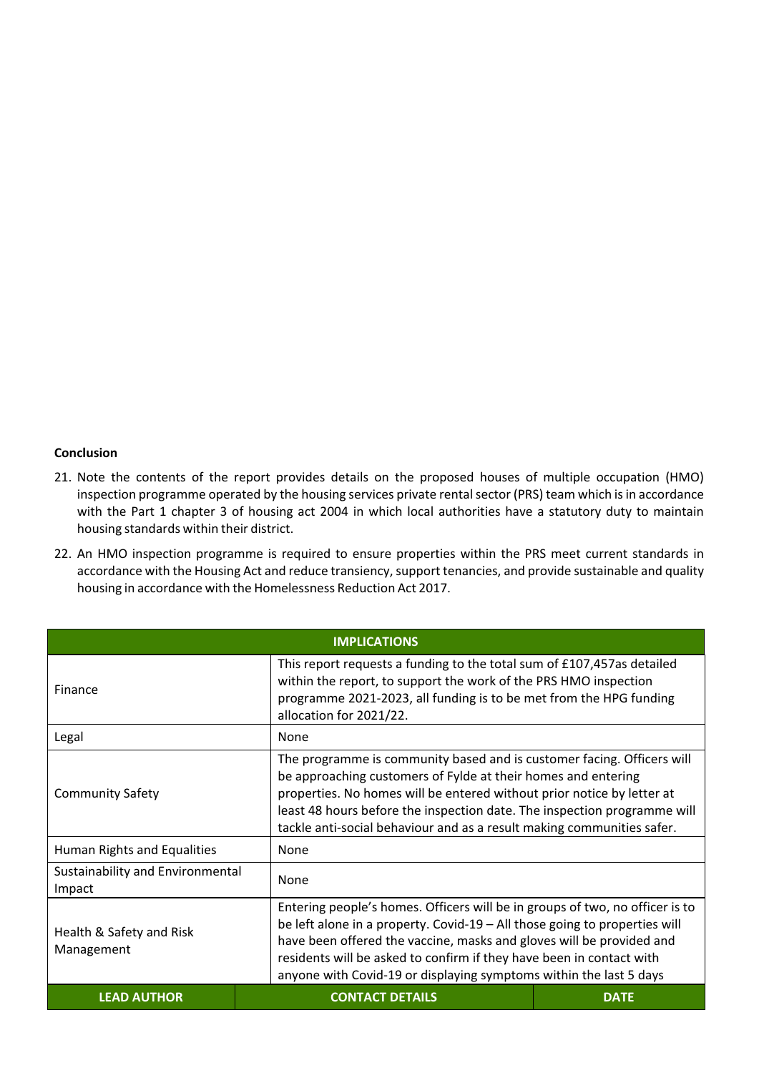#### **Conclusion**

- 21. Note the contents of the report provides details on the proposed houses of multiple occupation (HMO) inspection programme operated by the housing services private rental sector (PRS) team which is in accordance with the Part 1 chapter 3 of housing act 2004 in which local authorities have a statutory duty to maintain housing standards within their district.
- 22. An HMO inspection programme is required to ensure properties within the PRS meet current standards in accordance with the Housing Act and reduce transiency, support tenancies, and provide sustainable and quality housing in accordance with the Homelessness Reduction Act 2017.

| <b>IMPLICATIONS</b>                        |                                                                                                                                                                                                                                                                                                                                                                                  |                                                                                                                                                                                                                                                                                                                                                                         |  |
|--------------------------------------------|----------------------------------------------------------------------------------------------------------------------------------------------------------------------------------------------------------------------------------------------------------------------------------------------------------------------------------------------------------------------------------|-------------------------------------------------------------------------------------------------------------------------------------------------------------------------------------------------------------------------------------------------------------------------------------------------------------------------------------------------------------------------|--|
| Finance                                    | This report requests a funding to the total sum of £107,457as detailed<br>within the report, to support the work of the PRS HMO inspection<br>programme 2021-2023, all funding is to be met from the HPG funding<br>allocation for 2021/22.                                                                                                                                      |                                                                                                                                                                                                                                                                                                                                                                         |  |
| Legal                                      | None                                                                                                                                                                                                                                                                                                                                                                             |                                                                                                                                                                                                                                                                                                                                                                         |  |
| <b>Community Safety</b>                    |                                                                                                                                                                                                                                                                                                                                                                                  | The programme is community based and is customer facing. Officers will<br>be approaching customers of Fylde at their homes and entering<br>properties. No homes will be entered without prior notice by letter at<br>least 48 hours before the inspection date. The inspection programme will<br>tackle anti-social behaviour and as a result making communities safer. |  |
| Human Rights and Equalities                | None                                                                                                                                                                                                                                                                                                                                                                             |                                                                                                                                                                                                                                                                                                                                                                         |  |
| Sustainability and Environmental<br>Impact | None                                                                                                                                                                                                                                                                                                                                                                             |                                                                                                                                                                                                                                                                                                                                                                         |  |
| Health & Safety and Risk<br>Management     | Entering people's homes. Officers will be in groups of two, no officer is to<br>be left alone in a property. Covid-19 – All those going to properties will<br>have been offered the vaccine, masks and gloves will be provided and<br>residents will be asked to confirm if they have been in contact with<br>anyone with Covid-19 or displaying symptoms within the last 5 days |                                                                                                                                                                                                                                                                                                                                                                         |  |
| <b>LEAD AUTHOR</b>                         | <b>CONTACT DETAILS</b>                                                                                                                                                                                                                                                                                                                                                           | <b>DATE</b>                                                                                                                                                                                                                                                                                                                                                             |  |